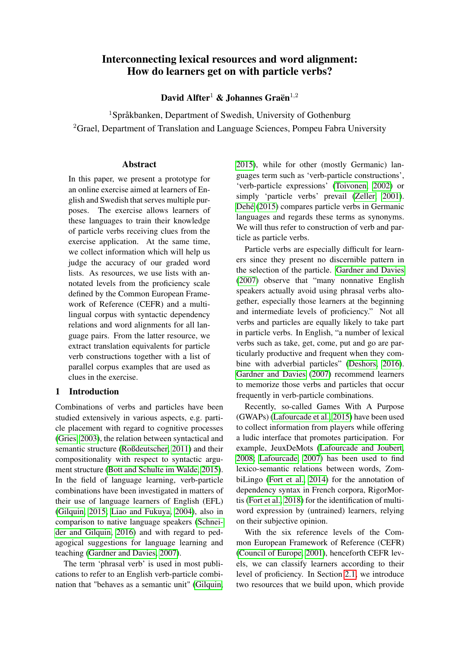# Interconnecting lexical resources and word alignment: How do learners get on with particle verbs?

David Alfter<sup>1</sup> & Johannes Graën<sup>1,2</sup>

<sup>1</sup>Språkbanken, Department of Swedish, University of Gothenburg <sup>2</sup>Grael, Department of Translation and Language Sciences, Pompeu Fabra University

## Abstract

In this paper, we present a prototype for an online exercise aimed at learners of English and Swedish that serves multiple purposes. The exercise allows learners of these languages to train their knowledge of particle verbs receiving clues from the exercise application. At the same time, we collect information which will help us judge the accuracy of our graded word lists. As resources, we use lists with annotated levels from the proficiency scale defined by the Common European Framework of Reference (CEFR) and a multilingual corpus with syntactic dependency relations and word alignments for all language pairs. From the latter resource, we extract translation equivalents for particle verb constructions together with a list of parallel corpus examples that are used as clues in the exercise.

## 1 Introduction

Combinations of verbs and particles have been studied extensively in various aspects, e.g. particle placement with regard to cognitive processes [\(Gries, 2003\)](#page-4-0), the relation between syntactical and semantic structure [\(Roßdeutscher, 2011\)](#page-5-0) and their compositionality with respect to syntactic argument structure [\(Bott and Schulte im Walde, 2015\)](#page-4-1). In the field of language learning, verb-particle combinations have been investigated in matters of their use of language learners of English (EFL) [\(Gilquin, 2015;](#page-4-2) [Liao and Fukuya, 2004\)](#page-5-1), also in comparison to native language speakers [\(Schnei](#page-5-2)[der and Gilquin, 2016\)](#page-5-2) and with regard to pedagogical suggestions for language learning and teaching [\(Gardner and Davies, 2007\)](#page-4-3).

The term 'phrasal verb' is used in most publications to refer to an English verb-particle combination that "behaves as a semantic unit" [\(Gilquin,](#page-4-2) [2015\)](#page-4-2), while for other (mostly Germanic) languages term such as 'verb-particle constructions', 'verb-particle expressions' [\(Toivonen, 2002\)](#page-5-3) or simply 'particle verbs' prevail [\(Zeller, 2001\)](#page-5-4). [Dehé](#page-4-4) [\(2015\)](#page-4-4) compares particle verbs in Germanic languages and regards these terms as synonyms. We will thus refer to construction of verb and particle as particle verbs.

Particle verbs are especially difficult for learners since they present no discernible pattern in the selection of the particle. [Gardner and Davies](#page-4-3) [\(2007\)](#page-4-3) observe that "many nonnative English speakers actually avoid using phrasal verbs altogether, especially those learners at the beginning and intermediate levels of proficiency." Not all verbs and particles are equally likely to take part in particle verbs. In English, "a number of lexical verbs such as take, get, come, put and go are particularly productive and frequent when they combine with adverbial particles" [\(Deshors, 2016\)](#page-4-5). [Gardner and Davies](#page-4-3) [\(2007\)](#page-4-3) recommend learners to memorize those verbs and particles that occur frequently in verb-particle combinations.

Recently, so-called Games With A Purpose (GWAPs) [\(Lafourcade et al., 2015\)](#page-5-5) have been used to collect information from players while offering a ludic interface that promotes participation. For example, JeuxDeMots [\(Lafourcade and Joubert,](#page-5-6) [2008;](#page-5-6) [Lafourcade, 2007\)](#page-4-6) has been used to find lexico-semantic relations between words, ZombiLingo [\(Fort et al., 2014\)](#page-4-7) for the annotation of dependency syntax in French corpora, RigorMortis [\(Fort et al., 2018\)](#page-4-8) for the identification of multiword expression by (untrained) learners, relying on their subjective opinion.

With the six reference levels of the Common European Framework of Reference (CEFR) [\(Council of Europe, 2001\)](#page-4-9), henceforth CEFR levels, we can classify learners according to their level of proficiency. In Section [2.1,](#page-1-0) we introduce two resources that we build upon, which provide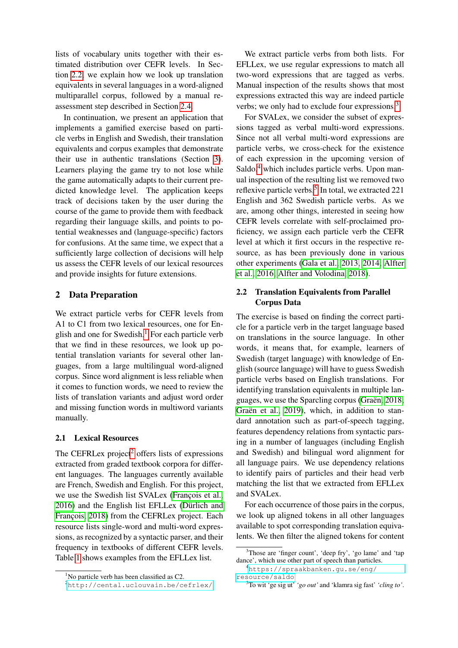lists of vocabulary units together with their estimated distribution over CEFR levels. In Section [2.2,](#page-1-1) we explain how we look up translation equivalents in several languages in a word-aligned multiparallel corpus, followed by a manual reassessment step described in Section [2.4.](#page-2-0)

In continuation, we present an application that implements a gamified exercise based on particle verbs in English and Swedish, their translation equivalents and corpus examples that demonstrate their use in authentic translations (Section [3\)](#page-3-0). Learners playing the game try to not lose while the game automatically adapts to their current predicted knowledge level. The application keeps track of decisions taken by the user during the course of the game to provide them with feedback regarding their language skills, and points to potential weaknesses and (language-specific) factors for confusions. At the same time, we expect that a sufficiently large collection of decisions will help us assess the CEFR levels of our lexical resources and provide insights for future extensions.

## 2 Data Preparation

We extract particle verbs for CEFR levels from A1 to C1 from two lexical resources, one for En-glish and one for Swedish.<sup>[1](#page-1-2)</sup> For each particle verb that we find in these resources, we look up potential translation variants for several other languages, from a large multilingual word-aligned corpus. Since word alignment is less reliable when it comes to function words, we need to review the lists of translation variants and adjust word order and missing function words in multiword variants manually.

## <span id="page-1-0"></span>2.1 Lexical Resources

The CEFRLex project<sup>[2](#page-1-3)</sup> offers lists of expressions extracted from graded textbook corpora for different languages. The languages currently available are French, Swedish and English. For this project, we use the Swedish list SVALex [\(François et al.,](#page-4-10) [2016\)](#page-4-10) and the English list EFLLex [\(Dürlich and](#page-4-11) [François, 2018\)](#page-4-11) from the CEFRLex project. Each resource lists single-word and multi-word expressions, as recognized by a syntactic parser, and their frequency in textbooks of different CEFR levels. Table [1](#page-2-1) shows examples from the EFLLex list.

We extract particle verbs from both lists. For EFLLex, we use regular expressions to match all two-word expressions that are tagged as verbs. Manual inspection of the results shows that most expressions extracted this way are indeed particle verbs; we only had to exclude four expressions.<sup>[3](#page-1-4)</sup>

For SVALex, we consider the subset of expressions tagged as verbal multi-word expressions. Since not all verbal multi-word expressions are particle verbs, we cross-check for the existence of each expression in the upcoming version of  $Saldo<sup>4</sup>$  $Saldo<sup>4</sup>$  $Saldo<sup>4</sup>$  which includes particle verbs. Upon manual inspection of the resulting list we removed two reflexive particle verbs.<sup>[5](#page-1-6)</sup> In total, we extracted 221 English and 362 Swedish particle verbs. As we are, among other things, interested in seeing how CEFR levels correlate with self-proclaimed proficiency, we assign each particle verb the CEFR level at which it first occurs in the respective resource, as has been previously done in various other experiments [\(Gala et al., 2013,](#page-4-12) [2014;](#page-4-13) [Alfter](#page-4-14) [et al., 2016;](#page-4-14) [Alfter and Volodina, 2018\)](#page-4-15).

## <span id="page-1-1"></span>2.2 Translation Equivalents from Parallel Corpus Data

The exercise is based on finding the correct particle for a particle verb in the target language based on translations in the source language. In other words, it means that, for example, learners of Swedish (target language) with knowledge of English (source language) will have to guess Swedish particle verbs based on English translations. For identifying translation equivalents in multiple languages, we use the Sparcling corpus [\(Graën, 2018;](#page-4-16) [Graën et al., 2019\)](#page-4-17), which, in addition to standard annotation such as part-of-speech tagging, features dependency relations from syntactic parsing in a number of languages (including English and Swedish) and bilingual word alignment for all language pairs. We use dependency relations to identify pairs of particles and their head verb matching the list that we extracted from EFLLex and SVALex.

For each occurrence of those pairs in the corpus, we look up aligned tokens in all other languages available to spot corresponding translation equivalents. We then filter the aligned tokens for content

<span id="page-1-2"></span> $1$ No particle verb has been classified as C2.

<span id="page-1-3"></span><sup>2</sup><http://cental.uclouvain.be/cefrlex/>

<span id="page-1-4"></span><sup>&</sup>lt;sup>3</sup>Those are 'finger count', 'deep fry', 'go lame' and 'tap dance', which use other part of speech than particles.

<span id="page-1-5"></span><sup>4</sup>[https://spraakbanken.gu.se/eng/](https://spraakbanken.gu.se/eng/resource/saldo) [resource/saldo](https://spraakbanken.gu.se/eng/resource/saldo)

<span id="page-1-6"></span><sup>5</sup>To wit 'ge sig ut' *'go out'* and 'klamra sig fast' *'cling to'*.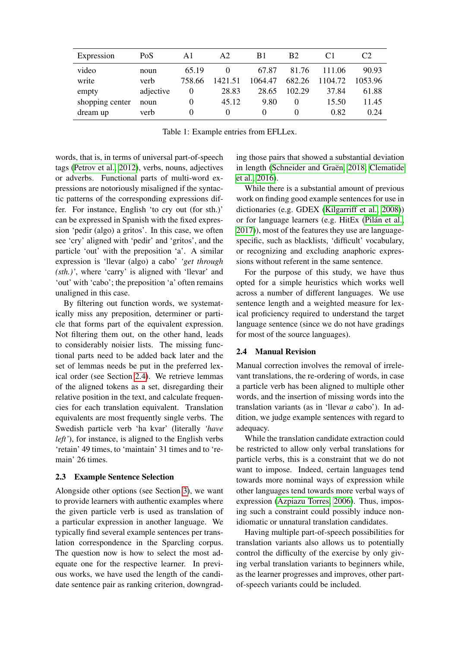| Expression      | PoS       | Al       | A2      | B1      | B <sub>2</sub> |         | C <sub>2</sub> |
|-----------------|-----------|----------|---------|---------|----------------|---------|----------------|
| video           | noun      | 65.19    |         | 67.87   | 81.76          | 111.06  | 90.93          |
| write           | verb      | 758.66   | 1421.51 | 1064.47 | 682.26         | 1104.72 | 1053.96        |
| empty           | adjective | $\theta$ | 28.83   | 28.65   | 102.29         | 37.84   | 61.88          |
| shopping center | noun      | $\theta$ | 45.12   | 9.80    |                | 15.50   | 11.45          |
| dream up        | verb      | $\theta$ |         | 0       |                | 0.82    | 0.24           |

<span id="page-2-1"></span>Table 1: Example entries from EFLLex.

words, that is, in terms of universal part-of-speech tags [\(Petrov et al., 2012\)](#page-5-7), verbs, nouns, adjectives or adverbs. Functional parts of multi-word expressions are notoriously misaligned if the syntactic patterns of the corresponding expressions differ. For instance, English 'to cry out (for sth.)' can be expressed in Spanish with the fixed expression 'pedir (algo) a gritos'. In this case, we often see 'cry' aligned with 'pedir' and 'gritos', and the particle 'out' with the preposition 'a'. A similar expression is 'llevar (algo) a cabo' *'get through (sth.)'*, where 'carry' is aligned with 'llevar' and 'out' with 'cabo'; the preposition 'a' often remains unaligned in this case.

By filtering out function words, we systematically miss any preposition, determiner or particle that forms part of the equivalent expression. Not filtering them out, on the other hand, leads to considerably noisier lists. The missing functional parts need to be added back later and the set of lemmas needs be put in the preferred lexical order (see Section [2.4\)](#page-2-0). We retrieve lemmas of the aligned tokens as a set, disregarding their relative position in the text, and calculate frequencies for each translation equivalent. Translation equivalents are most frequently single verbs. The Swedish particle verb 'ha kvar' (literally *'have left'*), for instance, is aligned to the English verbs 'retain' 49 times, to 'maintain' 31 times and to 'remain' 26 times.

#### 2.3 Example Sentence Selection

Alongside other options (see Section [3\)](#page-3-0), we want to provide learners with authentic examples where the given particle verb is used as translation of a particular expression in another language. We typically find several example sentences per translation correspondence in the Sparcling corpus. The question now is how to select the most adequate one for the respective learner. In previous works, we have used the length of the candidate sentence pair as ranking criterion, downgrad-

ing those pairs that showed a substantial deviation in length [\(Schneider and Graën, 2018;](#page-5-8) [Clematide](#page-4-18) [et al., 2016\)](#page-4-18).

While there is a substantial amount of previous work on finding good example sentences for use in dictionaries (e.g. GDEX [\(Kilgarriff et al., 2008\)](#page-4-19)) or for language learners (e.g. HitEx [\(Pilán et al.,](#page-5-9) [2017\)](#page-5-9)), most of the features they use are languagespecific, such as blacklists, 'difficult' vocabulary, or recognizing and excluding anaphoric expressions without referent in the same sentence.

For the purpose of this study, we have thus opted for a simple heuristics which works well across a number of different languages. We use sentence length and a weighted measure for lexical proficiency required to understand the target language sentence (since we do not have gradings for most of the source languages).

#### <span id="page-2-0"></span>2.4 Manual Revision

Manual correction involves the removal of irrelevant translations, the re-ordering of words, in case a particle verb has been aligned to multiple other words, and the insertion of missing words into the translation variants (as in 'llevar *a* cabo'). In addition, we judge example sentences with regard to adequacy.

While the translation candidate extraction could be restricted to allow only verbal translations for particle verbs, this is a constraint that we do not want to impose. Indeed, certain languages tend towards more nominal ways of expression while other languages tend towards more verbal ways of expression [\(Azpiazu Torres, 2006\)](#page-4-20). Thus, imposing such a constraint could possibly induce nonidiomatic or unnatural translation candidates.

Having multiple part-of-speech possibilities for translation variants also allows us to potentially control the difficulty of the exercise by only giving verbal translation variants to beginners while, as the learner progresses and improves, other partof-speech variants could be included.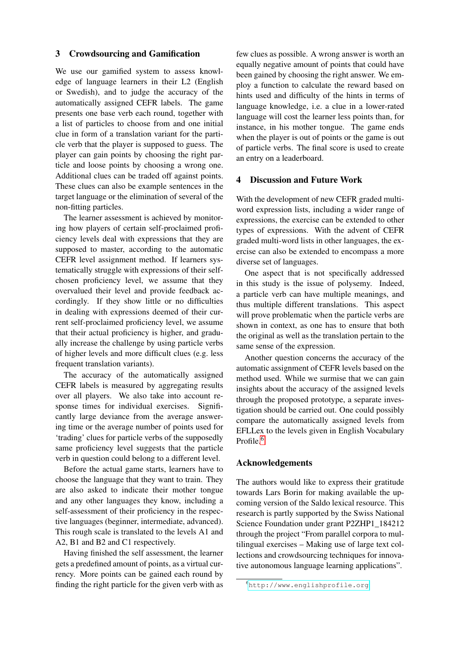#### <span id="page-3-0"></span>3 Crowdsourcing and Gamification

We use our gamified system to assess knowledge of language learners in their L2 (English or Swedish), and to judge the accuracy of the automatically assigned CEFR labels. The game presents one base verb each round, together with a list of particles to choose from and one initial clue in form of a translation variant for the particle verb that the player is supposed to guess. The player can gain points by choosing the right particle and loose points by choosing a wrong one. Additional clues can be traded off against points. These clues can also be example sentences in the target language or the elimination of several of the non-fitting particles.

The learner assessment is achieved by monitoring how players of certain self-proclaimed proficiency levels deal with expressions that they are supposed to master, according to the automatic CEFR level assignment method. If learners systematically struggle with expressions of their selfchosen proficiency level, we assume that they overvalued their level and provide feedback accordingly. If they show little or no difficulties in dealing with expressions deemed of their current self-proclaimed proficiency level, we assume that their actual proficiency is higher, and gradually increase the challenge by using particle verbs of higher levels and more difficult clues (e.g. less frequent translation variants).

The accuracy of the automatically assigned CEFR labels is measured by aggregating results over all players. We also take into account response times for individual exercises. Significantly large deviance from the average answering time or the average number of points used for 'trading' clues for particle verbs of the supposedly same proficiency level suggests that the particle verb in question could belong to a different level.

Before the actual game starts, learners have to choose the language that they want to train. They are also asked to indicate their mother tongue and any other languages they know, including a self-assessment of their proficiency in the respective languages (beginner, intermediate, advanced). This rough scale is translated to the levels A1 and A2, B1 and B2 and C1 respectively.

Having finished the self assessment, the learner gets a predefined amount of points, as a virtual currency. More points can be gained each round by finding the right particle for the given verb with as

few clues as possible. A wrong answer is worth an equally negative amount of points that could have been gained by choosing the right answer. We employ a function to calculate the reward based on hints used and difficulty of the hints in terms of language knowledge, i.e. a clue in a lower-rated language will cost the learner less points than, for instance, in his mother tongue. The game ends when the player is out of points or the game is out of particle verbs. The final score is used to create an entry on a leaderboard.

#### 4 Discussion and Future Work

With the development of new CEFR graded multiword expression lists, including a wider range of expressions, the exercise can be extended to other types of expressions. With the advent of CEFR graded multi-word lists in other languages, the exercise can also be extended to encompass a more diverse set of languages.

One aspect that is not specifically addressed in this study is the issue of polysemy. Indeed, a particle verb can have multiple meanings, and thus multiple different translations. This aspect will prove problematic when the particle verbs are shown in context, as one has to ensure that both the original as well as the translation pertain to the same sense of the expression.

Another question concerns the accuracy of the automatic assignment of CEFR levels based on the method used. While we surmise that we can gain insights about the accuracy of the assigned levels through the proposed prototype, a separate investigation should be carried out. One could possibly compare the automatically assigned levels from EFLLex to the levels given in English Vocabulary Profile.<sup>[6](#page-3-1)</sup>

#### Acknowledgements

The authors would like to express their gratitude towards Lars Borin for making available the upcoming version of the Saldo lexical resource. This research is partly supported by the Swiss National Science Foundation under grant P2ZHP1\_184212 through the project "From parallel corpora to multilingual exercises – Making use of large text collections and crowdsourcing techniques for innovative autonomous language learning applications".

<span id="page-3-1"></span><sup>6</sup><http://www.englishprofile.org>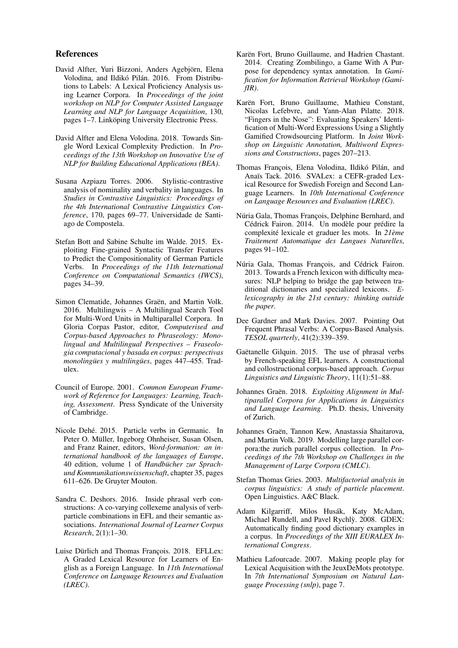#### References

- <span id="page-4-14"></span>David Alfter, Yuri Bizzoni, Anders Agebjörn, Elena Volodina, and Ildikó Pilán. 2016. From Distributions to Labels: A Lexical Proficiency Analysis using Learner Corpora. In *Proceedings of the joint workshop on NLP for Computer Assisted Language Learning and NLP for Language Acquisition*, 130, pages 1–7. Linköping University Electronic Press.
- <span id="page-4-15"></span>David Alfter and Elena Volodina. 2018. Towards Single Word Lexical Complexity Prediction. In *Proceedings of the 13th Workshop on Innovative Use of NLP for Building Educational Applications (BEA)*.
- <span id="page-4-20"></span>Susana Azpiazu Torres. 2006. Stylistic-contrastive analysis of nominality and verbality in languages. In *Studies in Contrastive Linguistics: Proceedings of the 4th International Contrastive Linguistics Conference*, 170, pages 69–77. Universidade de Santiago de Compostela.
- <span id="page-4-1"></span>Stefan Bott and Sabine Schulte im Walde. 2015. Exploiting Fine-grained Syntactic Transfer Features to Predict the Compositionality of German Particle Verbs. In *Proceedings of the 11th International Conference on Computational Semantics (IWCS)*, pages 34–39.
- <span id="page-4-18"></span>Simon Clematide, Johannes Graën, and Martin Volk. 2016. Multilingwis – A Multilingual Search Tool for Multi-Word Units in Multiparallel Corpora. In Gloria Corpas Pastor, editor, *Computerised and Corpus-based Approaches to Phraseology: Monolingual and Multilingual Perspectives – Fraseologia computacional y basada en corpus: perspectivas monolingües y multilingües*, pages 447–455. Tradulex.
- <span id="page-4-9"></span>Council of Europe. 2001. *Common European Framework of Reference for Languages: Learning, Teaching, Assessment*. Press Syndicate of the University of Cambridge.
- <span id="page-4-4"></span>Nicole Dehé. 2015. Particle verbs in Germanic. In Peter O. Müller, Ingeborg Ohnheiser, Susan Olsen, and Franz Rainer, editors, *Word-formation: an international handbook of the languages of Europe*, 40 edition, volume 1 of *Handbücher zur Sprachund Kommunikationswissenschaft*, chapter 35, pages 611–626. De Gruyter Mouton.
- <span id="page-4-5"></span>Sandra C. Deshors. 2016. Inside phrasal verb constructions: A co-varying collexeme analysis of verbparticle combinations in EFL and their semantic associations. *International Journal of Learner Corpus Research*, 2(1):1–30.
- <span id="page-4-11"></span>Luise Dürlich and Thomas François. 2018. EFLLex: A Graded Lexical Resource for Learners of English as a Foreign Language. In *11th International Conference on Language Resources and Evaluation (LREC)*.
- <span id="page-4-7"></span>Karën Fort, Bruno Guillaume, and Hadrien Chastant. 2014. Creating Zombilingo, a Game With A Purpose for dependency syntax annotation. In *Gamification for Information Retrieval Workshop (GamifIR)*.
- <span id="page-4-8"></span>Karën Fort, Bruno Guillaume, Mathieu Constant, Nicolas Lefebvre, and Yann-Alan Pilatte. 2018. "Fingers in the Nose": Evaluating Speakers' Identification of Multi-Word Expressions Using a Slightly Gamified Crowdsourcing Platform. In *Joint Workshop on Linguistic Annotation, Multiword Expressions and Constructions*, pages 207–213.
- <span id="page-4-10"></span>Thomas François, Elena Volodina, Ildikó Pilán, and Anaïs Tack. 2016. SVALex: a CEFR-graded Lexical Resource for Swedish Foreign and Second Language Learners. In *10th International Conference on Language Resources and Evaluation (LREC)*.
- <span id="page-4-13"></span>Núria Gala, Thomas François, Delphine Bernhard, and Cédrick Fairon. 2014. Un modèle pour prédire la complexité lexicale et graduer les mots. In *21ème Traitement Automatique des Langues Naturelles*, pages 91–102.
- <span id="page-4-12"></span>Núria Gala, Thomas François, and Cédrick Fairon. 2013. Towards a French lexicon with difficulty measures: NLP helping to bridge the gap between traditional dictionaries and specialized lexicons. *Elexicography in the 21st century: thinking outside the paper*.
- <span id="page-4-3"></span>Dee Gardner and Mark Davies. 2007. Pointing Out Frequent Phrasal Verbs: A Corpus-Based Analysis. *TESOL quarterly*, 41(2):339–359.
- <span id="page-4-2"></span>Gaëtanelle Gilquin. 2015. The use of phrasal verbs by French-speaking EFL learners. A constructional and collostructional corpus-based approach. *Corpus Linguistics and Linguistic Theory*, 11(1):51–88.
- <span id="page-4-16"></span>Johannes Graën. 2018. *Exploiting Alignment in Multiparallel Corpora for Applications in Linguistics and Language Learning*. Ph.D. thesis, University of Zurich.
- <span id="page-4-17"></span>Johannes Graën, Tannon Kew, Anastassia Shaitarova, and Martin Volk. 2019. Modelling large parallel corpora:the zurich parallel corpus collection. In *Proceedings of the 7th Workshop on Challenges in the Management of Large Corpora (CMLC)*.
- <span id="page-4-0"></span>Stefan Thomas Gries. 2003. *Multifactorial analysis in corpus linguistics: A study of particle placement*. Open Linguistics. A&C Black.
- <span id="page-4-19"></span>Adam Kilgarriff, Milos Husák, Katy McAdam, Michael Rundell, and Pavel Rychly. 2008. GDEX: ` Automatically finding good dictionary examples in a corpus. In *Proceedings of the XIII EURALEX International Congress*.
- <span id="page-4-6"></span>Mathieu Lafourcade. 2007. Making people play for Lexical Acquisition with the JeuxDeMots prototype. In *7th International Symposium on Natural Language Processing (snlp)*, page 7.